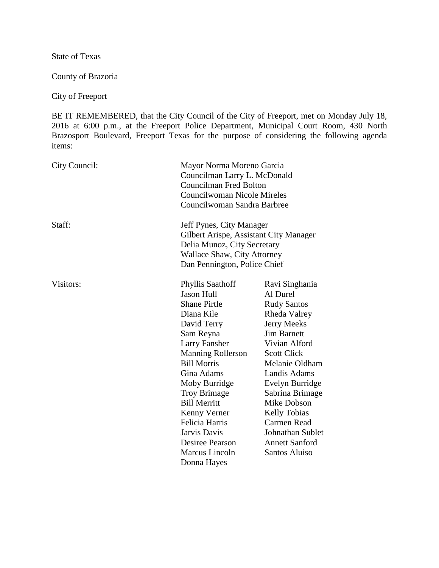State of Texas

County of Brazoria

City of Freeport

BE IT REMEMBERED, that the City Council of the City of Freeport, met on Monday July 18, 2016 at 6:00 p.m., at the Freeport Police Department, Municipal Court Room, 430 North Brazosport Boulevard, Freeport Texas for the purpose of considering the following agenda items:

| City Council: |                                                                                                                                                                         | Mayor Norma Moreno Garcia<br>Councilman Larry L. McDonald<br><b>Councilman Fred Bolton</b><br>Councilwoman Nicole Mireles<br>Councilwoman Sandra Barbree |  |
|---------------|-------------------------------------------------------------------------------------------------------------------------------------------------------------------------|----------------------------------------------------------------------------------------------------------------------------------------------------------|--|
| Staff:        | Jeff Pynes, City Manager<br>Gilbert Arispe, Assistant City Manager<br>Delia Munoz, City Secretary<br><b>Wallace Shaw, City Attorney</b><br>Dan Pennington, Police Chief |                                                                                                                                                          |  |
| Visitors:     | <b>Phyllis Saathoff</b><br><b>Jason Hull</b>                                                                                                                            | Ravi Singhania<br>Al Durel                                                                                                                               |  |
|               | <b>Shane Pirtle</b>                                                                                                                                                     | <b>Rudy Santos</b>                                                                                                                                       |  |
|               | Diana Kile                                                                                                                                                              | Rheda Valrey                                                                                                                                             |  |
|               | David Terry                                                                                                                                                             | <b>Jerry Meeks</b>                                                                                                                                       |  |
|               | Sam Reyna                                                                                                                                                               | <b>Jim Barnett</b>                                                                                                                                       |  |
|               | <b>Larry Fansher</b>                                                                                                                                                    | Vivian Alford                                                                                                                                            |  |
|               | <b>Manning Rollerson</b>                                                                                                                                                | <b>Scott Click</b>                                                                                                                                       |  |
|               | <b>Bill Morris</b>                                                                                                                                                      | Melanie Oldham                                                                                                                                           |  |
|               | Gina Adams                                                                                                                                                              | Landis Adams                                                                                                                                             |  |
|               | Moby Burridge                                                                                                                                                           | Evelyn Burridge                                                                                                                                          |  |
|               | <b>Troy Brimage</b>                                                                                                                                                     | Sabrina Brimage                                                                                                                                          |  |
|               | <b>Bill Merritt</b>                                                                                                                                                     | Mike Dobson                                                                                                                                              |  |
|               | Kenny Verner                                                                                                                                                            | <b>Kelly Tobias</b>                                                                                                                                      |  |
|               | Felicia Harris                                                                                                                                                          | Carmen Read                                                                                                                                              |  |
|               | Jarvis Davis                                                                                                                                                            | <b>Johnathan Sublet</b>                                                                                                                                  |  |
|               | Desiree Pearson                                                                                                                                                         | <b>Annett Sanford</b>                                                                                                                                    |  |
|               | Marcus Lincoln                                                                                                                                                          | <b>Santos Aluiso</b>                                                                                                                                     |  |
|               | Donna Hayes                                                                                                                                                             |                                                                                                                                                          |  |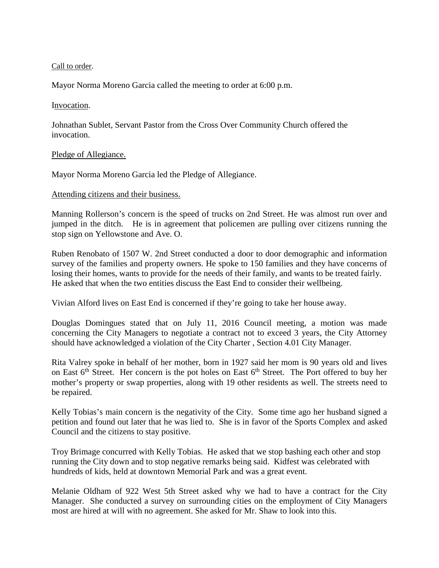## Call to order.

Mayor Norma Moreno Garcia called the meeting to order at 6:00 p.m.

## Invocation.

Johnathan Sublet, Servant Pastor from the Cross Over Community Church offered the invocation.

## Pledge of Allegiance.

Mayor Norma Moreno Garcia led the Pledge of Allegiance.

## Attending citizens and their business.

Manning Rollerson's concern is the speed of trucks on 2nd Street. He was almost run over and jumped in the ditch. He is in agreement that policemen are pulling over citizens running the stop sign on Yellowstone and Ave. O.

Ruben Renobato of 1507 W. 2nd Street conducted a door to door demographic and information survey of the families and property owners. He spoke to 150 families and they have concerns of losing their homes, wants to provide for the needs of their family, and wants to be treated fairly. He asked that when the two entities discuss the East End to consider their wellbeing.

Vivian Alford lives on East End is concerned if they're going to take her house away.

Douglas Domingues stated that on July 11, 2016 Council meeting, a motion was made concerning the City Managers to negotiate a contract not to exceed 3 years, the City Attorney should have acknowledged a violation of the City Charter , Section 4.01 City Manager.

Rita Valrey spoke in behalf of her mother, born in 1927 said her mom is 90 years old and lives on East  $6<sup>th</sup>$  Street. Her concern is the pot holes on East  $6<sup>th</sup>$  Street. The Port offered to buy her mother's property or swap properties, along with 19 other residents as well. The streets need to be repaired.

Kelly Tobias's main concern is the negativity of the City. Some time ago her husband signed a petition and found out later that he was lied to. She is in favor of the Sports Complex and asked Council and the citizens to stay positive.

Troy Brimage concurred with Kelly Tobias. He asked that we stop bashing each other and stop running the City down and to stop negative remarks being said. Kidfest was celebrated with hundreds of kids, held at downtown Memorial Park and was a great event.

Melanie Oldham of 922 West 5th Street asked why we had to have a contract for the City Manager. She conducted a survey on surrounding cities on the employment of City Managers most are hired at will with no agreement. She asked for Mr. Shaw to look into this.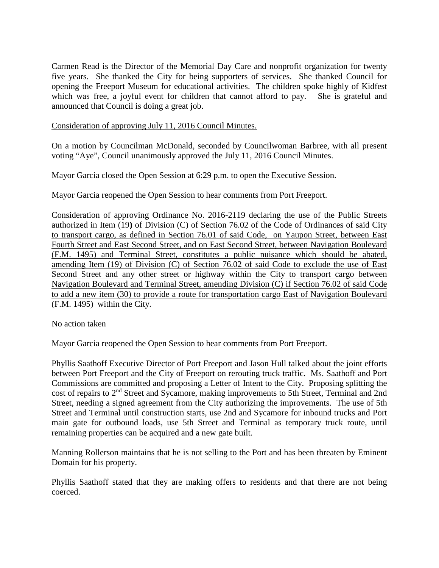Carmen Read is the Director of the Memorial Day Care and nonprofit organization for twenty five years. She thanked the City for being supporters of services. She thanked Council for opening the Freeport Museum for educational activities. The children spoke highly of Kidfest which was free, a joyful event for children that cannot afford to pay. She is grateful and announced that Council is doing a great job.

Consideration of approving July 11, 2016 Council Minutes.

On a motion by Councilman McDonald, seconded by Councilwoman Barbree, with all present voting "Aye", Council unanimously approved the July 11, 2016 Council Minutes.

Mayor Garcia closed the Open Session at 6:29 p.m. to open the Executive Session.

Mayor Garcia reopened the Open Session to hear comments from Port Freeport.

Consideration of approving Ordinance No. 2016-2119 declaring the use of the Public Streets authorized in Item (19**)** of Division (C) of Section 76.02 of the Code of Ordinances of said City to transport cargo, as defined in Section 76.01 of said Code, on Yaupon Street, between East Fourth Street and East Second Street, and on East Second Street, between Navigation Boulevard (F.M. 1495) and Terminal Street, constitutes a public nuisance which should be abated, amending Item (19) of Division (C) of Section 76.02 of said Code to exclude the use of East Second Street and any other street or highway within the City to transport cargo between Navigation Boulevard and Terminal Street, amending Division (C) if Section 76.02 of said Code to add a new item (30) to provide a route for transportation cargo East of Navigation Boulevard (F.M. 1495) within the City.

No action taken

Mayor Garcia reopened the Open Session to hear comments from Port Freeport.

Phyllis Saathoff Executive Director of Port Freeport and Jason Hull talked about the joint efforts between Port Freeport and the City of Freeport on rerouting truck traffic. Ms. Saathoff and Port Commissions are committed and proposing a Letter of Intent to the City. Proposing splitting the cost of repairs to 2nd Street and Sycamore, making improvements to 5th Street, Terminal and 2nd Street, needing a signed agreement from the City authorizing the improvements. The use of 5th Street and Terminal until construction starts, use 2nd and Sycamore for inbound trucks and Port main gate for outbound loads, use 5th Street and Terminal as temporary truck route, until remaining properties can be acquired and a new gate built.

Manning Rollerson maintains that he is not selling to the Port and has been threaten by Eminent Domain for his property.

Phyllis Saathoff stated that they are making offers to residents and that there are not being coerced.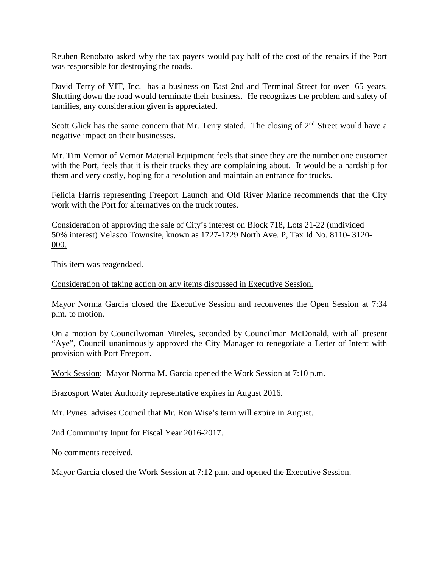Reuben Renobato asked why the tax payers would pay half of the cost of the repairs if the Port was responsible for destroying the roads.

David Terry of VIT, Inc. has a business on East 2nd and Terminal Street for over 65 years. Shutting down the road would terminate their business. He recognizes the problem and safety of families, any consideration given is appreciated.

Scott Glick has the same concern that Mr. Terry stated. The closing of  $2<sup>nd</sup>$  Street would have a negative impact on their businesses.

Mr. Tim Vernor of Vernor Material Equipment feels that since they are the number one customer with the Port, feels that it is their trucks they are complaining about. It would be a hardship for them and very costly, hoping for a resolution and maintain an entrance for trucks.

Felicia Harris representing Freeport Launch and Old River Marine recommends that the City work with the Port for alternatives on the truck routes.

Consideration of approving the sale of City's interest on Block 718, Lots 21-22 (undivided 50% interest) Velasco Townsite, known as 1727-1729 North Ave. P, Tax Id No. 8110- 3120- 000.

This item was reagendaed.

Consideration of taking action on any items discussed in Executive Session.

Mayor Norma Garcia closed the Executive Session and reconvenes the Open Session at 7:34 p.m. to motion.

On a motion by Councilwoman Mireles, seconded by Councilman McDonald, with all present "Aye", Council unanimously approved the City Manager to renegotiate a Letter of Intent with provision with Port Freeport.

Work Session: Mayor Norma M. Garcia opened the Work Session at 7:10 p.m.

Brazosport Water Authority representative expires in August 2016.

Mr. Pynes advises Council that Mr. Ron Wise's term will expire in August.

2nd Community Input for Fiscal Year 2016-2017.

No comments received.

Mayor Garcia closed the Work Session at 7:12 p.m. and opened the Executive Session.